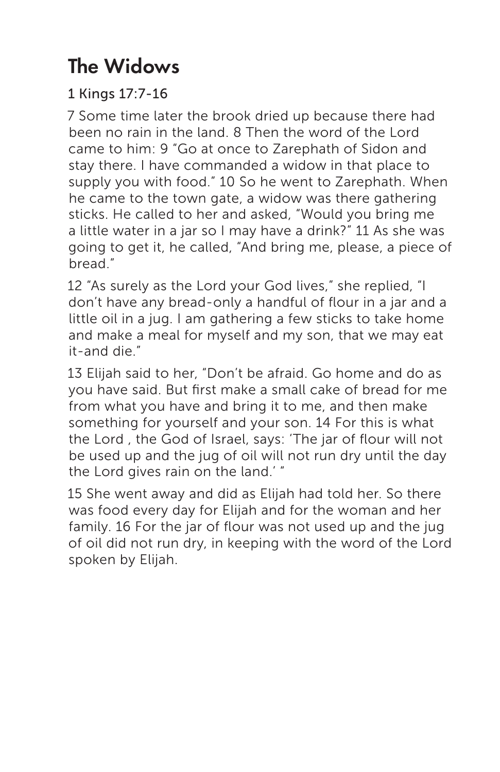# The Widows

1 Kings 17:7-16

7 Some time later the brook dried up because there had been no rain in the land. 8 Then the word of the Lord came to him: 9 "Go at once to Zarephath of Sidon and stay there. I have commanded a widow in that place to supply you with food." 10 So he went to Zarephath. When he came to the town gate, a widow was there gathering sticks. He called to her and asked, "Would you bring me a little water in a jar so I may have a drink?" 11 As she was going to get it, he called, "And bring me, please, a piece of bread."

12 "As surely as the Lord your God lives," she replied, "I don't have any bread-only a handful of flour in a jar and a little oil in a jug. I am gathering a few sticks to take home and make a meal for myself and my son, that we may eat it-and die."

13 Elijah said to her, "Don't be afraid. Go home and do as you have said. But first make a small cake of bread for me from what you have and bring it to me, and then make something for yourself and your son. 14 For this is what the Lord , the God of Israel, says: 'The jar of flour will not be used up and the jug of oil will not run dry until the day the Lord gives rain on the land.' "

15 She went away and did as Elijah had told her. So there was food every day for Elijah and for the woman and her family. 16 For the jar of flour was not used up and the jug of oil did not run dry, in keeping with the word of the Lord spoken by Elijah.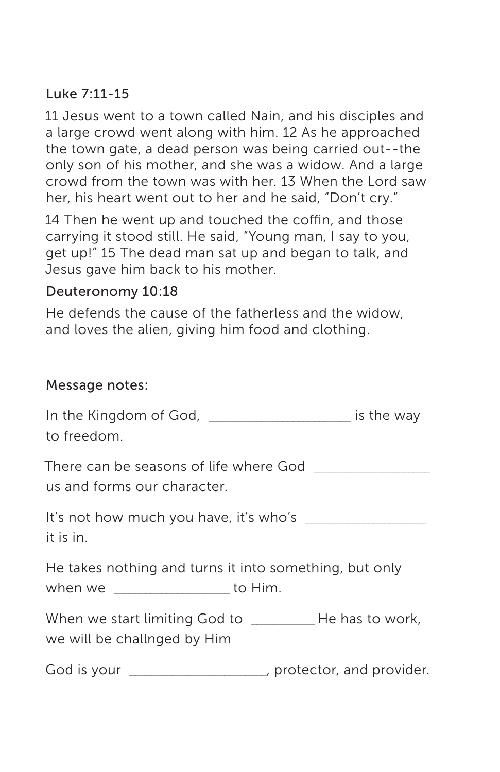# Luke 7:11-15

11 Jesus went to a town called Nain, and his disciples and a large crowd went along with him. 12 As he approached the town gate, a dead person was being carried out--the only son of his mother, and she was a widow. And a large crowd from the town was with her. 13 When the Lord saw her, his heart went out to her and he said, "Don't cry."

14 Then he went up and touched the coffin, and those carrying it stood still. He said, "Young man, I say to you, get up!" 15 The dead man sat up and began to talk, and Jesus gave him back to his mother.

### Deuteronomy 10:18

He defends the cause of the fatherless and the widow, and loves the alien, giving him food and clothing.

#### Message notes:

| In the Kingdom of God, _______________________ is the way<br>to freedom.                      |  |
|-----------------------------------------------------------------------------------------------|--|
| There can be seasons of life where God<br>us and forms our character.                         |  |
| It's not how much you have, it's who's<br>it is in.                                           |  |
| He takes nothing and turns it into something, but only<br>when we ___________________ to Him. |  |
| we will be challnged by Him                                                                   |  |
| God is your ______________________, protector, and provider.                                  |  |